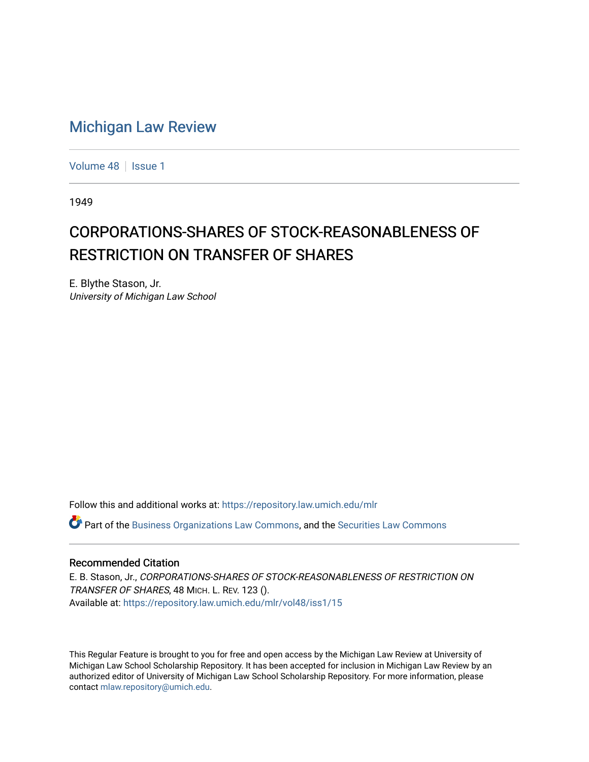## [Michigan Law Review](https://repository.law.umich.edu/mlr)

[Volume 48](https://repository.law.umich.edu/mlr/vol48) | [Issue 1](https://repository.law.umich.edu/mlr/vol48/iss1)

1949

## CORPORATIONS-SHARES OF STOCK-REASONABLENESS OF RESTRICTION ON TRANSFER OF SHARES

E. Blythe Stason, Jr. University of Michigan Law School

Follow this and additional works at: [https://repository.law.umich.edu/mlr](https://repository.law.umich.edu/mlr?utm_source=repository.law.umich.edu%2Fmlr%2Fvol48%2Fiss1%2F15&utm_medium=PDF&utm_campaign=PDFCoverPages) 

 $\bullet$  Part of the [Business Organizations Law Commons](http://network.bepress.com/hgg/discipline/900?utm_source=repository.law.umich.edu%2Fmlr%2Fvol48%2Fiss1%2F15&utm_medium=PDF&utm_campaign=PDFCoverPages), and the Securities Law Commons

## Recommended Citation

E. B. Stason, Jr., CORPORATIONS-SHARES OF STOCK-REASONABLENESS OF RESTRICTION ON TRANSFER OF SHARES, 48 MICH. L. REV. 123 (). Available at: [https://repository.law.umich.edu/mlr/vol48/iss1/15](https://repository.law.umich.edu/mlr/vol48/iss1/15?utm_source=repository.law.umich.edu%2Fmlr%2Fvol48%2Fiss1%2F15&utm_medium=PDF&utm_campaign=PDFCoverPages) 

This Regular Feature is brought to you for free and open access by the Michigan Law Review at University of Michigan Law School Scholarship Repository. It has been accepted for inclusion in Michigan Law Review by an authorized editor of University of Michigan Law School Scholarship Repository. For more information, please contact [mlaw.repository@umich.edu](mailto:mlaw.repository@umich.edu).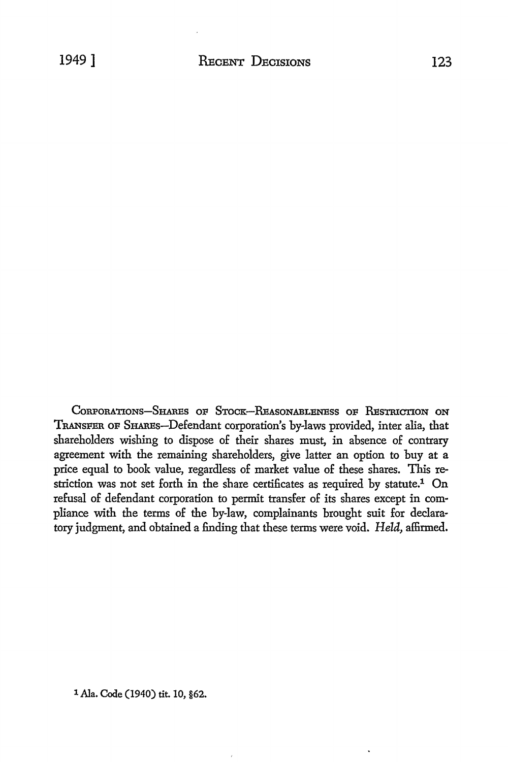CORPORATIONS-SHARES OF STOCK-REASONABLENESS OF RESTRICTION ON TRANSFER OF SHAREs-Defendant corporation's by-laws provided, inter alia, that shareholders wishing to dispose of their shares must, in absence of contrary agreement with the remaining sharehoiders, give latter an option to buy at a price equal to book value, regardless of market value of these shares. This restriction was not set forth in the share certificates as required by statute.<sup>1</sup> On refusal of defendant corporation to permit transfer of its shares except in compliance with the terms of the by-law, complainants brought suit for declaratory judgment, and obtained a finding that these terms were void. *Held,* affirmed.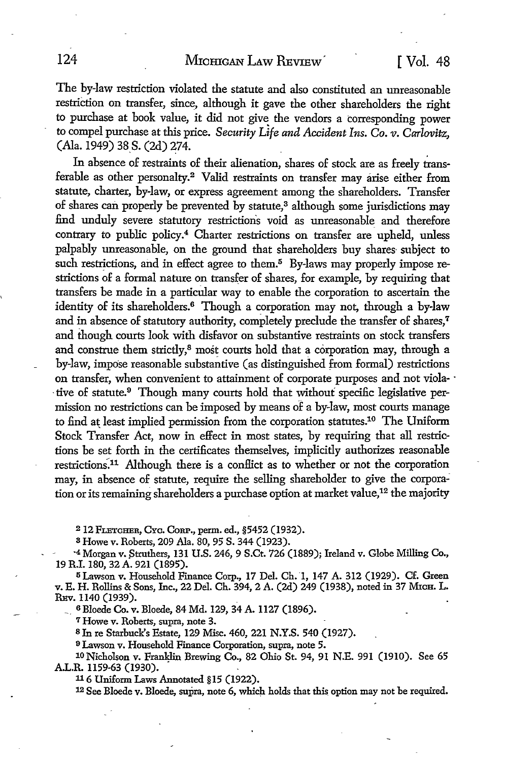The by-law restriction violated the statute and also constituted an unreasonable restriction on transfer, since, although it gave the other shareholders the right to purchase at book value, it did not give the vendors a corresponding power *to* compel purchase at this price. *Security Life and Accident Ins. Co. v. Carlovitz,*  (Ala. 1949) 38 S. (2d) 274.

In absence of restraints of their alienation, shares of stock are as freely transferable as other personalty.<sup>2</sup> Valid restraints on transfer may arise either from statute, charter, by-law, or express agreement among the shareholders. Transfer of shares can properly be prevented by statute,<sup>3</sup> although some jurisdictions may find unduly severe statutory restrictions void as unreasonable and therefore contrary to public policy.<sup>4</sup> Charter restrictions on transfer are upheld, unless palpably unreasonable, on the ground that shareholders buy shares· subject to such restrictions, and in effect agree to them.<sup>5</sup> By-laws may properly impose restrictions of a formal nature on transfer of shares, for example, by requiring that transfers be made in a particular way to enable the corporation to ascertain the identity of its shareholders.6 Though a corporation may not, through a by-law and in absence of statutory authority, completely preclude the transfer of shares,<sup>7</sup> and though courts look with disfavor on substantive restraints on stock transfers and construe them strictly,<sup>8</sup> most courts hold that a corporation may, through a by-law, impose reasonable substantive (as distinguished from formal) restrictions on transfer, when convenient to attainment of corporate purposes and not viola- · tive of statute.<sup>9</sup> Though many courts hold that without specific legislative permission no restrictions can be imposed by means of a by-law, most courts manage to find at least implied permission from the corporation statutes.10 The Uniform Stock Transfer Act, now in effect in most states, by requiring that all restrictions be set forth in the certificates themselves, implicitly authorizes reasonable restrictions.11 Although there is a conffict as to whether or not the corporation may, in absence of statute, require the selling shareholder to give the corporation or its remaining shareholders a purchase option at market value, 12 the majority

2 12 FLETCHER, CYc. CcRP., perm. ed., §5452 (1932).

3 Howe v. Roberts, 209 Ala. 80, 95 S. 344 (1923).

<sup>-4</sup> Morgan v. Struthers, 131 U.S. 246, 9 S.Ct. 726 (1889); Ireland v. Globe Milling Co., 19 R.I. 180, 32 A. 921 (1895).

5 Lawson v. Household Finance Corp., 17 Del. Ch. 1, 147 A. 312 (1929). Cf. Green v. E. H. Rollins & Sons, Inc., 22 Del. Ch. 394, 2 A. (2d) 249 (1938), noted in 37 MICH. L. REV. 1140 (1939).

\_ 6 Bloede Co. v. Bloede, 84 Md. 129, 34 A. 1127 (1896).

7 Howe v. Roberts, supra, note 3.

<sup>8</sup>In re Starbuck's Estate, 129 Misc. 460, 221 N.Y.S. 540 (1927).

<sup>9</sup>Lawson v. Household Finance Corporation, supra, note 5.

10 Nicholson v. Franl;lin Brewing Co., 82 Ohio St. 94, 91 N.E. 991 (1910). See 65 A.L.R. 1159-63 (1930).

116 Uniform Laws Annotated §15 (1922).

12 See Bloede v. Bloede, supra, note 6, which holds that this option may not be required.